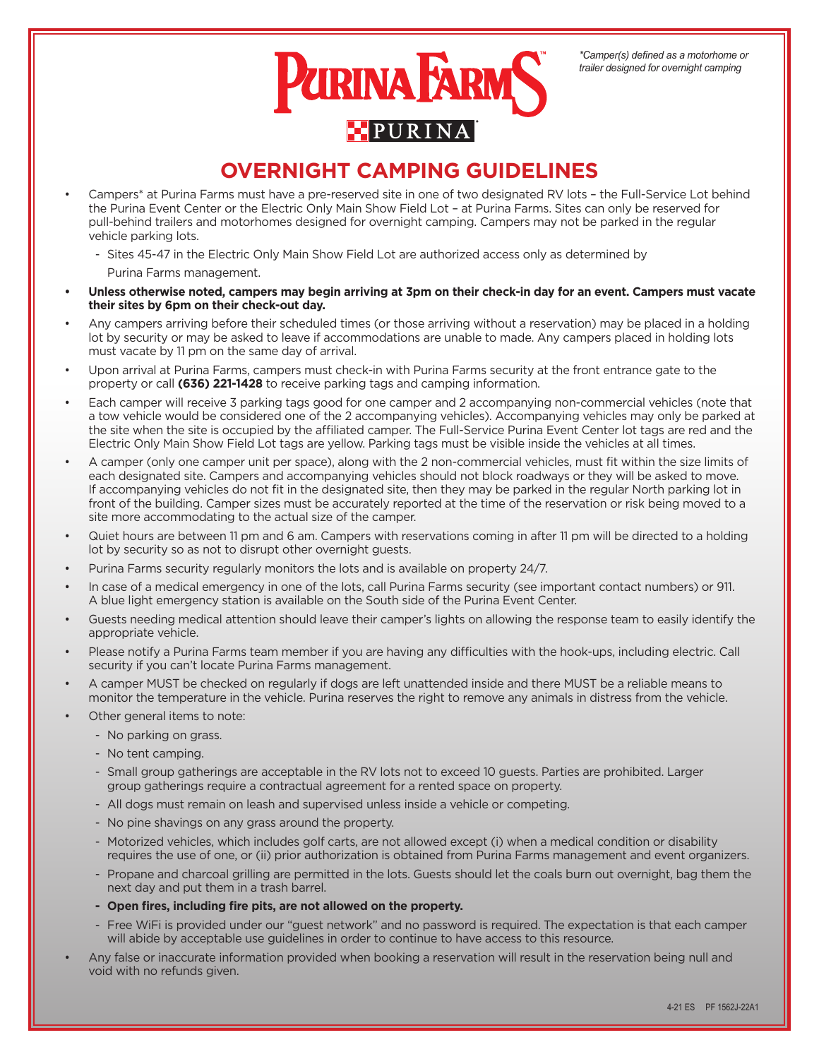

## **OVERNIGHT CAMPING GUIDELINES**

- Campers\* at Purina Farms must have a pre-reserved site in one of two designated RV lots the Full-Service Lot behind the Purina Event Center or the Electric Only Main Show Field Lot – at Purina Farms. Sites can only be reserved for pull-behind trailers and motorhomes designed for overnight camping. Campers may not be parked in the regular vehicle parking lots.
	- Sites 45-47 in the Electric Only Main Show Field Lot are authorized access only as determined by Purina Farms management.
- **• Unless otherwise noted, campers may begin arriving at 3pm on their check-in day for an event. Campers must vacate their sites by 6pm on their check-out day.**
- Any campers arriving before their scheduled times (or those arriving without a reservation) may be placed in a holding lot by security or may be asked to leave if accommodations are unable to made. Any campers placed in holding lots must vacate by 11 pm on the same day of arrival.
- Upon arrival at Purina Farms, campers must check-in with Purina Farms security at the front entrance gate to the property or call **(636) 221-1428** to receive parking tags and camping information.
- Each camper will receive 3 parking tags good for one camper and 2 accompanying non-commercial vehicles (note that a tow vehicle would be considered one of the 2 accompanying vehicles). Accompanying vehicles may only be parked at the site when the site is occupied by the affiliated camper. The Full-Service Purina Event Center lot tags are red and the Electric Only Main Show Field Lot tags are yellow. Parking tags must be visible inside the vehicles at all times.
- A camper (only one camper unit per space), along with the 2 non-commercial vehicles, must fit within the size limits of each designated site. Campers and accompanying vehicles should not block roadways or they will be asked to move. If accompanying vehicles do not fit in the designated site, then they may be parked in the regular North parking lot in front of the building. Camper sizes must be accurately reported at the time of the reservation or risk being moved to a site more accommodating to the actual size of the camper.
- Quiet hours are between 11 pm and 6 am. Campers with reservations coming in after 11 pm will be directed to a holding lot by security so as not to disrupt other overnight guests.
- Purina Farms security regularly monitors the lots and is available on property 24/7.
- In case of a medical emergency in one of the lots, call Purina Farms security (see important contact numbers) or 911. A blue light emergency station is available on the South side of the Purina Event Center.
- Guests needing medical attention should leave their camper's lights on allowing the response team to easily identify the appropriate vehicle.
- Please notify a Purina Farms team member if you are having any difficulties with the hook-ups, including electric. Call security if you can't locate Purina Farms management.
- A camper MUST be checked on regularly if dogs are left unattended inside and there MUST be a reliable means to monitor the temperature in the vehicle. Purina reserves the right to remove any animals in distress from the vehicle.
- Other general items to note:
	- No parking on grass.
		- No tent camping.
		- Small group gatherings are acceptable in the RV lots not to exceed 10 guests. Parties are prohibited. Larger group gatherings require a contractual agreement for a rented space on property.
		- All dogs must remain on leash and supervised unless inside a vehicle or competing.
		- No pine shavings on any grass around the property.
		- Motorized vehicles, which includes golf carts, are not allowed except (i) when a medical condition or disability requires the use of one, or (ii) prior authorization is obtained from Purina Farms management and event organizers.
		- Propane and charcoal grilling are permitted in the lots. Guests should let the coals burn out overnight, bag them the next day and put them in a trash barrel.
		- **- Open fires, including fire pits, are not allowed on the property.**
		- Free WiFi is provided under our "guest network" and no password is required. The expectation is that each camper will abide by acceptable use guidelines in order to continue to have access to this resource.
- Any false or inaccurate information provided when booking a reservation will result in the reservation being null and void with no refunds given.